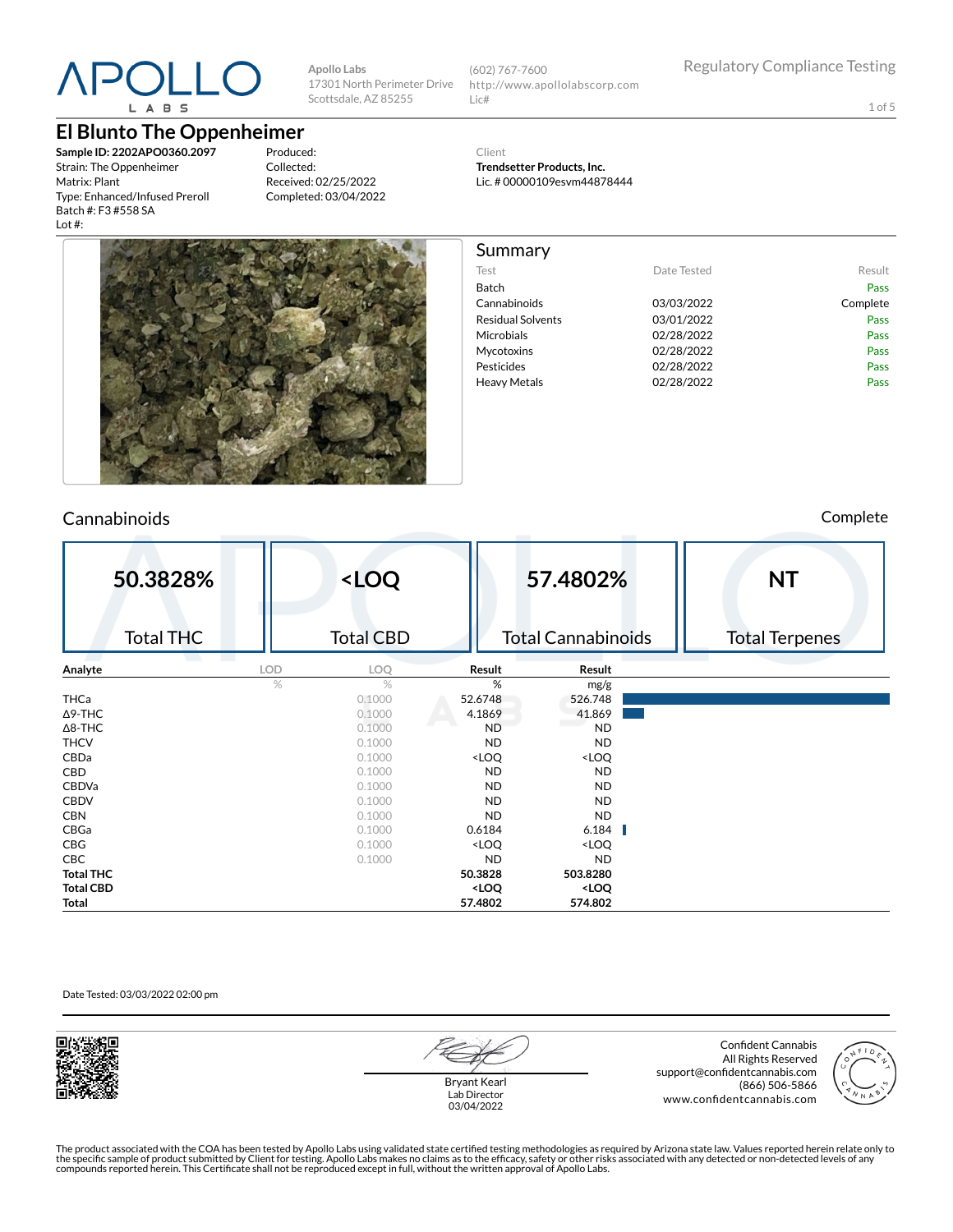

#### **El Blunto The Oppenheimer**

**Sample ID: 2202APO0360.2097** Strain: The Oppenheimer Matrix: Plant Type: Enhanced/Infused Preroll Batch #: F3 #558 SA Lot #:

Produced: Collected: Received: 02/25/2022 Completed: 03/04/2022

**Apollo Labs**

Scottsdale, AZ 85255

17301 North Perimeter Drive (602) 767-7600 http://www.apollolabscorp.com Lic#

1 of 5

Client **Trendsetter Products, Inc.**

Summary

Lic. # 00000109esvm44878444

Test **Date Tested** Result Batch Pass Cannabinoids 03/03/2022 Complete Residual Solvents **03/01/2022** Pass Microbials **02/28/2022** Pass Mycotoxins 02/28/2022 Pass Pesticides **Data Pass** 02/28/2022 **Pass** Pass Heavy Metals **D2/28/2022** Pass



#### Cannabinoids Complete

| 50.3828%         |     | <loq< th=""><th></th><th>57.4802%</th><th><b>NT</b></th></loq<> |                                                          | 57.4802%                     | <b>NT</b>             |
|------------------|-----|-----------------------------------------------------------------|----------------------------------------------------------|------------------------------|-----------------------|
| <b>Total THC</b> |     | <b>Total CBD</b>                                                |                                                          | <b>Total Cannabinoids</b>    | <b>Total Terpenes</b> |
| a a t<br>Analyte | LOD | LOQ                                                             | Result                                                   | Result                       |                       |
|                  | %   | $\%$                                                            | %                                                        | mg/g                         |                       |
| THCa             |     | 0.1000                                                          | 52.6748                                                  | 526.748                      |                       |
| $\Delta$ 9-THC   |     | 0.1000                                                          | 4.1869                                                   | 41.869                       |                       |
| $\Delta$ 8-THC   |     | 0.1000                                                          | <b>ND</b>                                                | <b>ND</b>                    |                       |
| <b>THCV</b>      |     | 0.1000                                                          | <b>ND</b>                                                | <b>ND</b>                    |                       |
| CBDa             |     | 0.1000                                                          | <loq< th=""><th><loq< th=""><th></th></loq<></th></loq<> | <loq< th=""><th></th></loq<> |                       |
| CBD              |     | 0.1000                                                          | <b>ND</b>                                                | <b>ND</b>                    |                       |
| <b>CBDVa</b>     |     | 0.1000                                                          | <b>ND</b>                                                | <b>ND</b>                    |                       |
| <b>CBDV</b>      |     | 0.1000                                                          | <b>ND</b>                                                | <b>ND</b>                    |                       |
| <b>CBN</b>       |     | 0.1000                                                          | <b>ND</b>                                                | <b>ND</b>                    |                       |
| CBGa             |     | 0.1000                                                          | 0.6184                                                   | 6.184                        |                       |
| CBG              |     | 0.1000                                                          | <loq< th=""><th><loq< th=""><th></th></loq<></th></loq<> | <loq< th=""><th></th></loq<> |                       |
| <b>CBC</b>       |     | 0.1000                                                          | <b>ND</b>                                                | <b>ND</b>                    |                       |
| <b>Total THC</b> |     |                                                                 | 50.3828                                                  | 503.8280                     |                       |
| <b>Total CBD</b> |     |                                                                 | <loq< th=""><th><loq< th=""><th></th></loq<></th></loq<> | <loq< th=""><th></th></loq<> |                       |
| Total            |     |                                                                 | 57.4802                                                  | 574.802                      |                       |

#### Date Tested: 03/03/2022 02:00 pm



Bryant Kearl Lab Director 03/04/2022

Confident Cannabis All Rights Reserved support@confidentcannabis.com (866) 506-5866 www.confidentcannabis.com

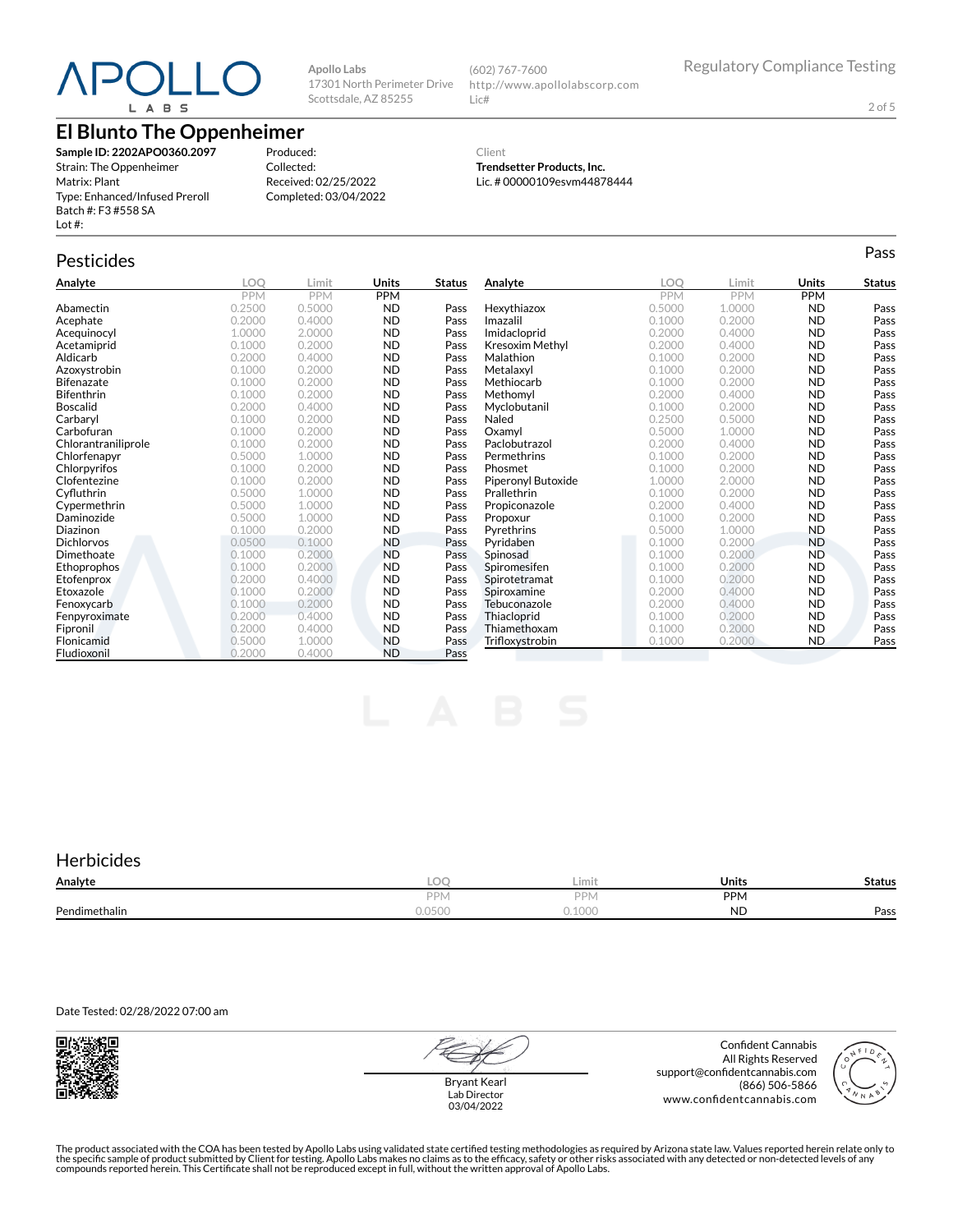## **)** L A B S

## **El Blunto The Oppenheimer**

**Sample ID: 2202APO0360.2097** Strain: The Oppenheimer Matrix: Plant Type: Enhanced/Infused Preroll Batch #: F3 #558 SA Lot #:

Produced: Collected: Received: 02/25/2022 Completed: 03/04/2022

**Apollo Labs**

17301 North Perimeter Drive Scottsdale, AZ 85255

> Client **Trendsetter Products, Inc.**

(602) 767-7600

Lic#

Lic. # 00000109esvm44878444

http://www.apollolabscorp.com

## Pesticides **Passage of the Contract of Contract Contract of Contract Contract Contract Contract Contract Contract Contract Contract Contract Contract Contract Contract Contract Contract Contract Contract Contract Contract**

| Analyte             | LOO    | Limit  | Units      | <b>Status</b> | Analyte            | LOO    | Limit      | Units      | <b>Status</b> |
|---------------------|--------|--------|------------|---------------|--------------------|--------|------------|------------|---------------|
|                     | PPM    | PPM    | <b>PPM</b> |               |                    | PPM    | <b>PPM</b> | <b>PPM</b> |               |
| Abamectin           | 0.2500 | 0.5000 | <b>ND</b>  | Pass          | Hexythiazox        | 0.5000 | 1.0000     | <b>ND</b>  | Pass          |
| Acephate            | 0.2000 | 0.4000 | <b>ND</b>  | Pass          | Imazalil           | 0.1000 | 0.2000     | <b>ND</b>  | Pass          |
| Acequinocyl         | 1.0000 | 2.0000 | <b>ND</b>  | Pass          | Imidacloprid       | 0.2000 | 0.4000     | <b>ND</b>  | Pass          |
| Acetamiprid         | 0.1000 | 0.2000 | <b>ND</b>  | Pass          | Kresoxim Methyl    | 0.2000 | 0.4000     | <b>ND</b>  | Pass          |
| Aldicarb            | 0.2000 | 0.4000 | <b>ND</b>  | Pass          | Malathion          | 0.1000 | 0.2000     | <b>ND</b>  | Pass          |
| Azoxystrobin        | 0.1000 | 0.2000 | <b>ND</b>  | Pass          | Metalaxyl          | 0.1000 | 0.2000     | <b>ND</b>  | Pass          |
| <b>Bifenazate</b>   | 0.1000 | 0.2000 | <b>ND</b>  | Pass          | Methiocarb         | 0.1000 | 0.2000     | <b>ND</b>  | Pass          |
| <b>Bifenthrin</b>   | 0.1000 | 0.2000 | <b>ND</b>  | Pass          | Methomvl           | 0.2000 | 0.4000     | <b>ND</b>  | Pass          |
| <b>Boscalid</b>     | 0.2000 | 0.4000 | <b>ND</b>  | Pass          | Myclobutanil       | 0.1000 | 0.2000     | <b>ND</b>  | Pass          |
| Carbaryl            | 0.1000 | 0.2000 | <b>ND</b>  | Pass          | Naled              | 0.2500 | 0.5000     | <b>ND</b>  | Pass          |
| Carbofuran          | 0.1000 | 0.2000 | <b>ND</b>  | Pass          | Oxamyl             | 0.5000 | 1.0000     | <b>ND</b>  | Pass          |
| Chlorantraniliprole | 0.1000 | 0.2000 | <b>ND</b>  | Pass          | Paclobutrazol      | 0.2000 | 0.4000     | <b>ND</b>  | Pass          |
| Chlorfenapyr        | 0.5000 | 1.0000 | <b>ND</b>  | Pass          | Permethrins        | 0.1000 | 0.2000     | ND         | Pass          |
| Chlorpyrifos        | 0.1000 | 0.2000 | <b>ND</b>  | Pass          | Phosmet            | 0.1000 | 0.2000     | <b>ND</b>  | Pass          |
| Clofentezine        | 0.1000 | 0.2000 | <b>ND</b>  | Pass          | Piperonyl Butoxide | 1.0000 | 2.0000     | <b>ND</b>  | Pass          |
| Cyfluthrin          | 0.5000 | 1.0000 | <b>ND</b>  | Pass          | Prallethrin        | 0.1000 | 0.2000     | <b>ND</b>  | Pass          |
| Cypermethrin        | 0.5000 | 1.0000 | <b>ND</b>  | Pass          | Propiconazole      | 0.2000 | 0.4000     | <b>ND</b>  | Pass          |
| Daminozide          | 0.5000 | 1.0000 | <b>ND</b>  | Pass          | Propoxur           | 0.1000 | 0.2000     | <b>ND</b>  | Pass          |
| Diazinon            | 0.1000 | 0.2000 | <b>ND</b>  | Pass          | Pyrethrins         | 0.5000 | 1.0000     | <b>ND</b>  | Pass          |
| <b>Dichlorvos</b>   | 0.0500 | 0.1000 | <b>ND</b>  | Pass          | Pyridaben          | 0.1000 | 0.2000     | <b>ND</b>  | Pass          |
| Dimethoate          | 0.1000 | 0.2000 | <b>ND</b>  | Pass          | Spinosad           | 0.1000 | 0.2000     | <b>ND</b>  | Pass          |
| Ethoprophos         | 0.1000 | 0.2000 | <b>ND</b>  | Pass          | Spiromesifen       | 0.1000 | 0.2000     | ND         | Pass          |
| Etofenprox          | 0.2000 | 0.4000 | <b>ND</b>  | Pass          | Spirotetramat      | 0.1000 | 0.2000     | <b>ND</b>  | Pass          |
| Etoxazole           | 0.1000 | 0.2000 | <b>ND</b>  | Pass          | Spiroxamine        | 0.2000 | 0.4000     | <b>ND</b>  | Pass          |
| Fenoxycarb          | 0.1000 | 0.2000 | <b>ND</b>  | Pass          | Tebuconazole       | 0.2000 | 0.4000     | <b>ND</b>  | Pass          |
| Fenpyroximate       | 0.2000 | 0.4000 | <b>ND</b>  | Pass          | Thiacloprid        | 0.1000 | 0.2000     | <b>ND</b>  | Pass          |
| Fipronil            | 0.2000 | 0.4000 | <b>ND</b>  | Pass          | Thiamethoxam       | 0.1000 | 0.2000     | <b>ND</b>  | Pass          |
| Flonicamid          | 0.5000 | 1.0000 | <b>ND</b>  | Pass          | Trifloxystrobin    | 0.1000 | 0.2000     | <b>ND</b>  | Pass          |
| Fludioxonil         | 0.2000 | 0.4000 | <b>ND</b>  | Pass          |                    |        |            |            |               |

#### **Herbicides**

| Analyte       | ∩∩<br>v              | $\sim$<br>Limit  | <b>Units</b> | Status |
|---------------|----------------------|------------------|--------------|--------|
|               | <b>DDI</b><br>$-1$ v | DPN <sub>1</sub> | <b>PPM</b>   |        |
| Pendimethalin | U.UJUU               | $\cap$<br>LUUU - | NL           | Pass   |

Date Tested: 02/28/2022 07:00 am



Bryant Kearl Lab Director 03/04/2022

Confident Cannabis All Rights Reserved support@confidentcannabis.com (866) 506-5866 www.confidentcannabis.com



The product associated with the COA has been tested by Apollo Labs using validated state certified testing methodologies as required by Arizona state law. Values reported herein relate only to<br>the specific sample of produc

2 of 5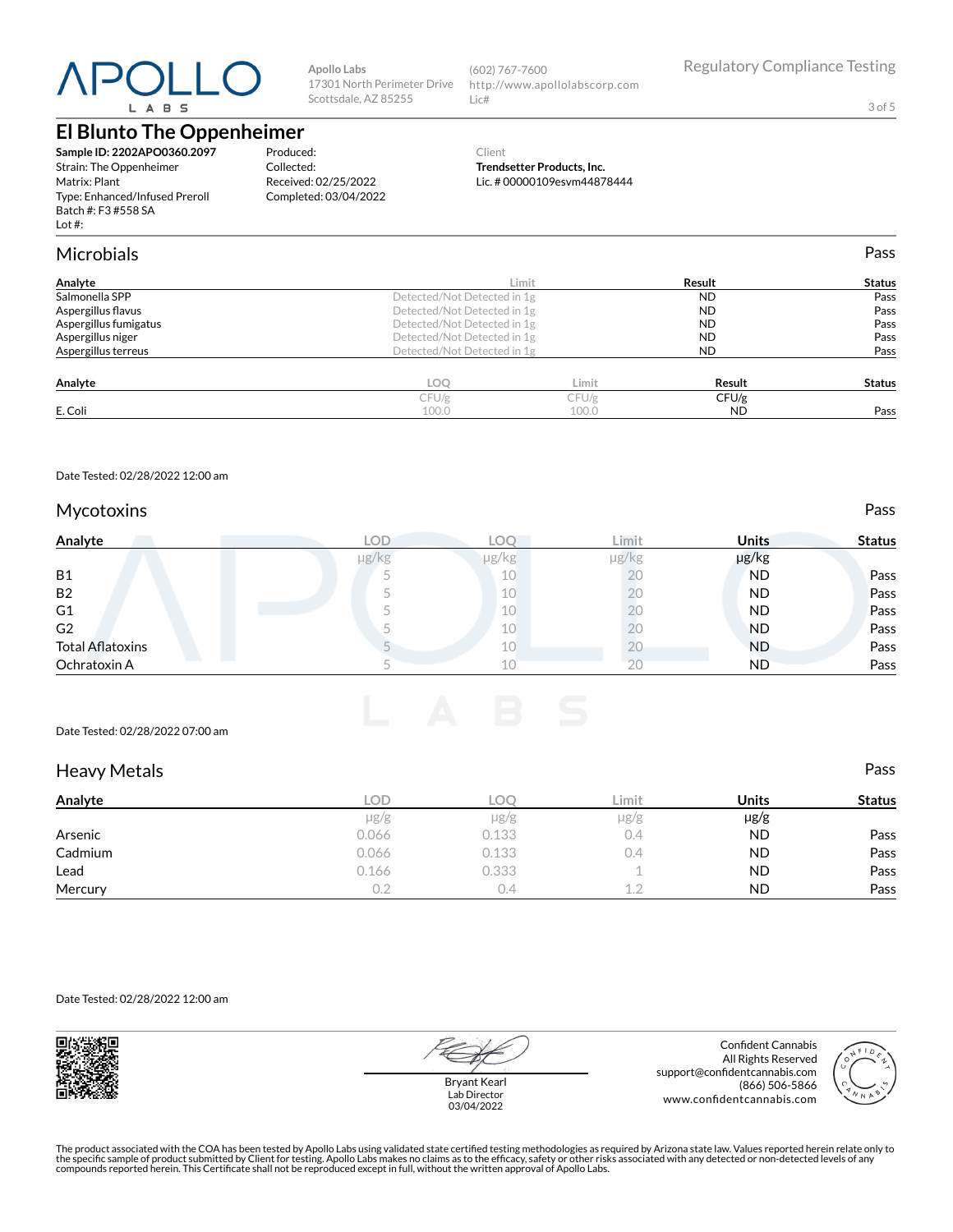# L A B S

## **El Blunto The Oppenheimer**

**Sample ID: 2202APO0360.2097** Strain: The Oppenheimer Matrix: Plant Type: Enhanced/Infused Preroll Batch #: F3 #558 SA Lot #:

**Apollo Labs** 17301 North Perimeter Drive Scottsdale, AZ 85255

(602) 767-7600 http://www.apollolabscorp.com Lic#

3 of 5

Produced: Collected: Received: 02/25/2022 Completed: 03/04/2022

#### Client **Trendsetter Products, Inc.** Lic. # 00000109esvm44878444

| <b>Microbials</b>     |                             |       |           | Pass          |
|-----------------------|-----------------------------|-------|-----------|---------------|
| Analyte               |                             | Limit | Result    | <b>Status</b> |
| Salmonella SPP        | Detected/Not Detected in 1g |       | <b>ND</b> | Pass          |
| Aspergillus flavus    | Detected/Not Detected in 1g |       | <b>ND</b> | Pass          |
| Aspergillus fumigatus | Detected/Not Detected in 1g |       | <b>ND</b> | Pass          |
| Aspergillus niger     | Detected/Not Detected in 1g |       | <b>ND</b> | Pass          |
| Aspergillus terreus   | Detected/Not Detected in 1g |       | <b>ND</b> | Pass          |
| Analyte               | <b>LOO</b>                  | Limit | Result    | <b>Status</b> |
|                       | CFU/g                       | CFU/g | CFU/g     |               |
| E. Coli               | 100.0                       | 100.0 | <b>ND</b> | Pass          |

Date Tested: 02/28/2022 12:00 am

#### Mycotoxins **Pass**

| Analyte                 | <b>LOD</b> | °O∟        | Limit      | <b>Units</b> | <b>Status</b> |
|-------------------------|------------|------------|------------|--------------|---------------|
|                         | $\mu$ g/kg | $\mu$ g/kg | $\mu$ g/kg | µg/kg        |               |
| <b>B1</b>               |            | 10         | ŽŪ         | <b>ND</b>    | Pass          |
| <b>B2</b>               |            | 10         |            | <b>ND</b>    | Pass          |
| G1                      |            | 10         | Λ.         | <b>ND</b>    | Pass          |
| G2                      |            | 10         |            | ND           | Pass          |
| <b>Total Aflatoxins</b> |            | 10         | ΖU         | <b>ND</b>    | Pass          |
| Ochratoxin A            |            | 10         | 20         | <b>ND</b>    | Pass          |

#### Date Tested: 02/28/2022 07:00 am

| <b>Heavy Metals</b> |            |           |           |              | Pass          |
|---------------------|------------|-----------|-----------|--------------|---------------|
| Analyte             | <b>LOD</b> | LOC       | Limit     | <b>Units</b> | <b>Status</b> |
|                     | $\mu$ g/g  | $\mu$ g/g | $\mu$ g/g | $\mu$ g/g    |               |
| Arsenic             | 0.066      | 0.133     | 0.4       | <b>ND</b>    | Pass          |
| Cadmium             | 0.066      | 0.133     | 0.4       | <b>ND</b>    | Pass          |
| Lead                | 0.166      | 0.333     |           | <b>ND</b>    | Pass          |
| Mercury             |            | 0.4       | 1.2       | <b>ND</b>    | Pass          |

Date Tested: 02/28/2022 12:00 am



Bryant Kearl Lab Director 03/04/2022

Confident Cannabis All Rights Reserved support@confidentcannabis.com (866) 506-5866 www.confidentcannabis.com

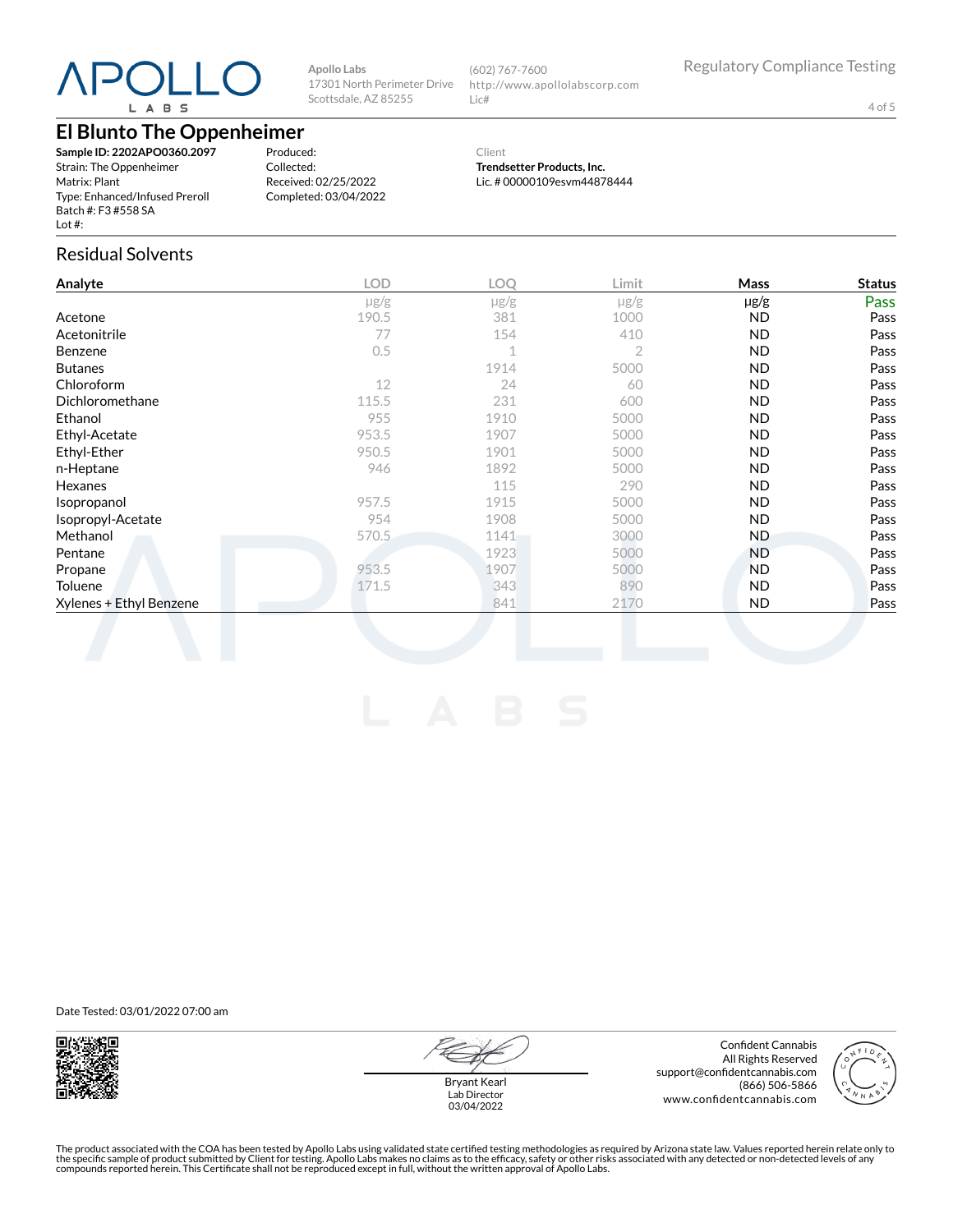# L A B S

**Apollo Labs** 17301 North Perimeter Drive Scottsdale, AZ 85255

(602) 767-7600 http://www.apollolabscorp.com Lic#

4 of 5

### **El Blunto The Oppenheimer**

**Sample ID: 2202APO0360.2097** Strain: The Oppenheimer Matrix: Plant Type: Enhanced/Infused Preroll Batch #: F3 #558 SA Lot #:

Produced: Collected: Received: 02/25/2022 Completed: 03/04/2022

Client **Trendsetter Products, Inc.** Lic. # 00000109esvm44878444

#### Residual Solvents

| $\mu$ g/g<br>190.5<br>77 | $\mu$ g/g<br>381        | $\mu$ g/g      | $\mu$ g/g   | Pass                    |
|--------------------------|-------------------------|----------------|-------------|-------------------------|
|                          |                         |                |             |                         |
|                          |                         | 1000           | ND.         | Pass                    |
|                          | 154                     | 410            | <b>ND</b>   | Pass                    |
| 0.5                      | $\overline{A}$          | $\overline{2}$ | <b>ND</b>   | Pass                    |
|                          | 1914                    | 5000           | <b>ND</b>   | Pass                    |
| 12                       | 24                      | 60             | <b>ND</b>   | Pass                    |
| 115.5                    | 231                     | 600            | ND.         | Pass                    |
| 955                      | 1910                    | 5000           | <b>ND</b>   | Pass                    |
| 953.5                    | 1907                    | 5000           | <b>ND</b>   | Pass                    |
| 950.5                    | 1901                    | 5000           | ND.         | Pass                    |
| 946                      | 1892                    | 5000           | ND.         | Pass                    |
|                          | 115                     | 290            | ND.         | Pass                    |
| 957.5                    | 1915                    | 5000           | <b>ND</b>   | Pass                    |
| 954                      | 1908                    | 5000           |             | Pass                    |
|                          | 1141                    | 3000           | ND.         | Pass                    |
|                          | 1923                    | 5000           | ND.         | Pass                    |
|                          |                         |                |             | Pass                    |
|                          |                         |                |             | Pass                    |
|                          | 841                     | 2170           | ND.         | Pass                    |
|                          | 570.5<br>953.5<br>171.5 | 1907<br>343    | 5000<br>890 | ND.<br><b>ND</b><br>ND. |

Date Tested: 03/01/2022 07:00 am





Bryant Kearl Lab Director 03/04/2022